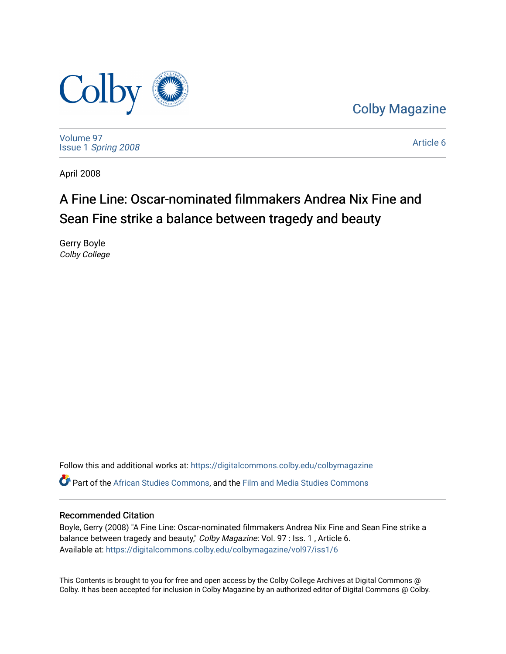

[Colby Magazine](https://digitalcommons.colby.edu/colbymagazine) 

[Volume 97](https://digitalcommons.colby.edu/colbymagazine/vol97) Issue 1 [Spring 2008](https://digitalcommons.colby.edu/colbymagazine/vol97/iss1) 

[Article 6](https://digitalcommons.colby.edu/colbymagazine/vol97/iss1/6) 

April 2008

## A Fine Line: Oscar-nominated filmmakers Andrea Nix Fine and Sean Fine strike a balance between tragedy and beauty

Gerry Boyle Colby College

Follow this and additional works at: [https://digitalcommons.colby.edu/colbymagazine](https://digitalcommons.colby.edu/colbymagazine?utm_source=digitalcommons.colby.edu%2Fcolbymagazine%2Fvol97%2Fiss1%2F6&utm_medium=PDF&utm_campaign=PDFCoverPages) Part of the [African Studies Commons,](http://network.bepress.com/hgg/discipline/1043?utm_source=digitalcommons.colby.edu%2Fcolbymagazine%2Fvol97%2Fiss1%2F6&utm_medium=PDF&utm_campaign=PDFCoverPages) and the [Film and Media Studies Commons](http://network.bepress.com/hgg/discipline/563?utm_source=digitalcommons.colby.edu%2Fcolbymagazine%2Fvol97%2Fiss1%2F6&utm_medium=PDF&utm_campaign=PDFCoverPages)

#### Recommended Citation

Boyle, Gerry (2008) "A Fine Line: Oscar-nominated filmmakers Andrea Nix Fine and Sean Fine strike a balance between tragedy and beauty," Colby Magazine: Vol. 97 : Iss. 1, Article 6. Available at: [https://digitalcommons.colby.edu/colbymagazine/vol97/iss1/6](https://digitalcommons.colby.edu/colbymagazine/vol97/iss1/6?utm_source=digitalcommons.colby.edu%2Fcolbymagazine%2Fvol97%2Fiss1%2F6&utm_medium=PDF&utm_campaign=PDFCoverPages)

This Contents is brought to you for free and open access by the Colby College Archives at Digital Commons @ Colby. It has been accepted for inclusion in Colby Magazine by an authorized editor of Digital Commons @ Colby.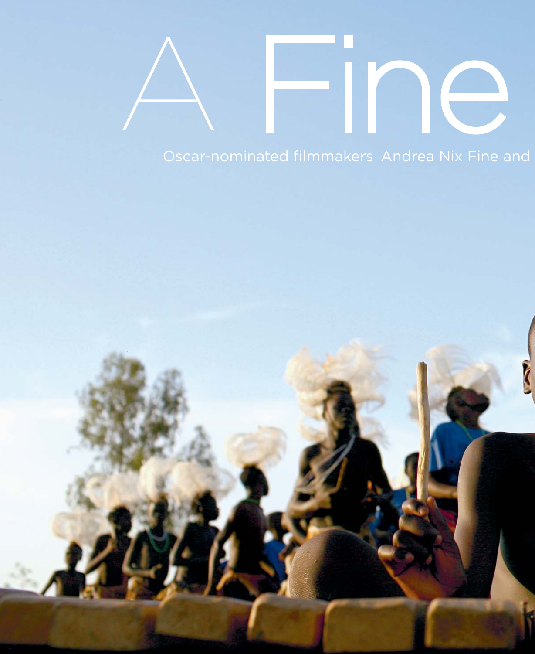# Oscar-nominated filmmakers Andrea Nix Fine and

A Fine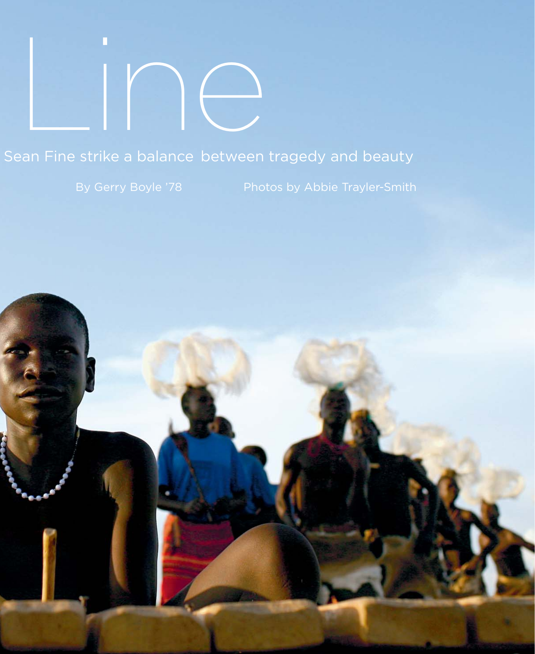# Line

## Sean Fine strike a balance between tragedy and beauty

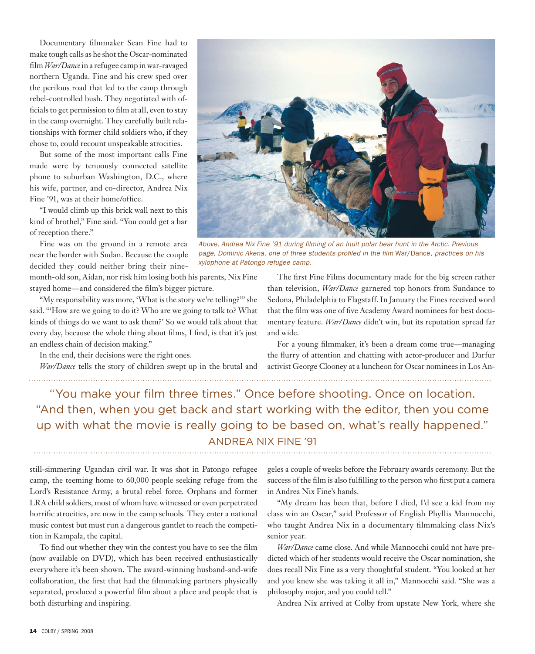Documentary filmmaker Sean Fine had to make tough calls as he shot the Oscar-nominated film *War/Dance* in a refugee camp in war-ravaged northern Uganda. Fine and his crew sped over the perilous road that led to the camp through rebel-controlled bush. They negotiated with officials to get permission to film at all, even to stay in the camp overnight. They carefully built relationships with former child soldiers who, if they chose to, could recount unspeakable atrocities.

 But some of the most important calls Fine made were by tenuously connected satellite phone to suburban Washington, D.C., where his wife, partner, and co-director, Andrea Nix Fine '91, was at their home/office.

 "I would climb up this brick wall next to this kind of brothel," Fine said. "You could get a bar of reception there."

 Fine was on the ground in a remote area near the border with Sudan. Because the couple decided they could neither bring their ninemonth-old son, Aidan, nor risk him losing both his parents, Nix Fine stayed home—and considered the film's bigger picture.

 "My responsibility was more, 'What is the story we're telling?'" she said. "'How are we going to do it? Who are we going to talk to? What kinds of things do we want to ask them?' So we would talk about that every day, because the whole thing about films, I find, is that it's just an endless chain of decision making."

In the end, their decisions were the right ones.

*War/Dance* tells the story of children swept up in the brutal and



*Above, Andrea Nix Fine '91 during fi lming of an Inuit polar bear hunt in the Arctic. Previous page, Dominic Akena, one of three students profi led in the fi lm* War/Dance*, practices on his xylophone at Patongo refugee camp.*

The first Fine Films documentary made for the big screen rather than television, *War/Dance* garnered top honors from Sundance to Sedona, Philadelphia to Flagstaff. In January the Fines received word that the film was one of five Academy Award nominees for best documentary feature. *War/Dance* didn't win, but its reputation spread far and wide.

For a young filmmaker, it's been a dream come true-managing the flurry of attention and chatting with actor-producer and Darfur activist George Clooney at a luncheon for Oscar nominees in Los An-

"You make your film three times." Once before shooting. Once on location. "And then, when you get back and start working with the editor, then you come up with what the movie is really going to be based on, what's really happened." ANDREA NIX FINE '91

still-simmering Ugandan civil war. It was shot in Patongo refugee camp, the teeming home to 60,000 people seeking refuge from the Lord's Resistance Army, a brutal rebel force. Orphans and former LRA child soldiers, most of whom have witnessed or even perpetrated horrific atrocities, are now in the camp schools. They enter a national music contest but must run a dangerous gantlet to reach the competition in Kampala, the capital.

To find out whether they win the contest you have to see the film (now available on DVD), which has been received enthusiastically everywhere it's been shown. The award-winning husband-and-wife collaboration, the first that had the filmmaking partners physically separated, produced a powerful film about a place and people that is both disturbing and inspiring.

geles a couple of weeks before the February awards ceremony. But the success of the film is also fulfilling to the person who first put a camera in Andrea Nix Fine's hands.

 "My dream has been that, before I died, I'd see a kid from my class win an Oscar," said Professor of English Phyllis Mannocchi, who taught Andrea Nix in a documentary filmmaking class Nix's senior year.

*War/Dance* came close. And while Mannocchi could not have predicted which of her students would receive the Oscar nomination, she does recall Nix Fine as a very thoughtful student. "You looked at her and you knew she was taking it all in," Mannocchi said. "She was a philosophy major, and you could tell."

Andrea Nix arrived at Colby from upstate New York, where she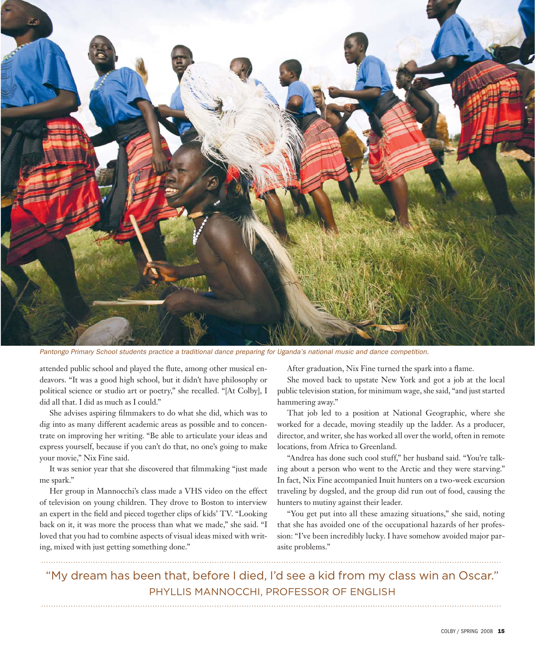

*Pantongo Primary School students practice a traditional dance preparing for Uganda's national music and dance competition.* 

attended public school and played the flute, among other musical endeavors. "It was a good high school, but it didn't have philosophy or political science or studio art or poetry," she recalled. "[At Colby], I did all that. I did as much as I could."

She advises aspiring filmmakers to do what she did, which was to dig into as many different academic areas as possible and to concentrate on improving her writing. "Be able to articulate your ideas and express yourself, because if you can't do that, no one's going to make your movie," Nix Fine said.

It was senior year that she discovered that filmmaking "just made me spark."

 Her group in Mannocchi's class made a VHS video on the effect of television on young children. They drove to Boston to interview an expert in the field and pieced together clips of kids' TV. "Looking back on it, it was more the process than what we made," she said. "I loved that you had to combine aspects of visual ideas mixed with writing, mixed with just getting something done."

After graduation, Nix Fine turned the spark into a flame.

 She moved back to upstate New York and got a job at the local public television station, for minimum wage, she said, "and just started hammering away."

 That job led to a position at National Geographic, where she worked for a decade, moving steadily up the ladder. As a producer, director, and writer, she has worked all over the world, often in remote locations, from Africa to Greenland.

 "Andrea has done such cool stuff," her husband said. "You're talking about a person who went to the Arctic and they were starving." In fact, Nix Fine accompanied Inuit hunters on a two-week excursion traveling by dogsled, and the group did run out of food, causing the hunters to mutiny against their leader.

 "You get put into all these amazing situations," she said, noting that she has avoided one of the occupational hazards of her profession: "I've been incredibly lucky. I have somehow avoided major parasite problems."

"My dream has been that, before I died, I'd see a kid from my class win an Oscar." PHYLLIS MANNOCCHI, PROFESSOR OF ENGLISH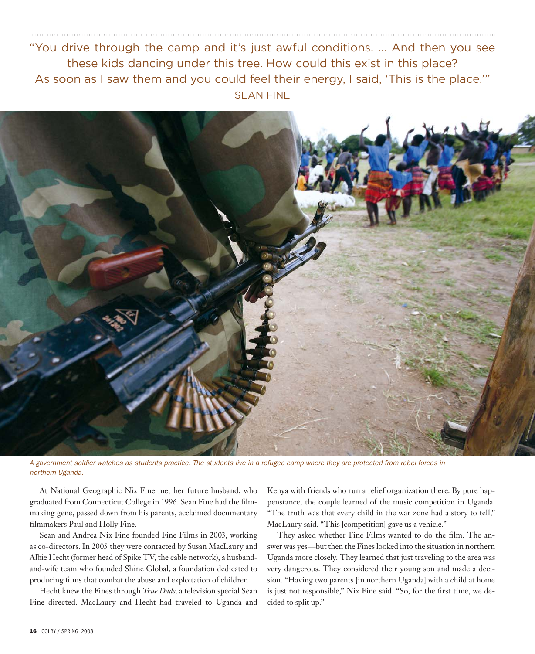#### "You drive through the camp and it's just awful conditions. ... And then you see these kids dancing under this tree. How could this exist in this place? As soon as I saw them and you could feel their energy, I said, 'This is the place.'" SEAN FINE



*A government soldier watches as students practice. The students live in a refugee camp where they are protected from rebel forces in northern Uganda.*

 At National Geographic Nix Fine met her future husband, who graduated from Connecticut College in 1996. Sean Fine had the filmmaking gene, passed down from his parents, acclaimed documentary filmmakers Paul and Holly Fine.

 Sean and Andrea Nix Fine founded Fine Films in 2003, working as co-directors. In 2005 they were contacted by Susan MacLaury and Albie Hecht (former head of Spike TV, the cable network), a husbandand-wife team who founded Shine Global, a foundation dedicated to producing films that combat the abuse and exploitation of children.

 Hecht knew the Fines through *True Dads*, a television special Sean Fine directed. MacLaury and Hecht had traveled to Uganda and Kenya with friends who run a relief organization there. By pure happenstance, the couple learned of the music competition in Uganda. "The truth was that every child in the war zone had a story to tell," MacLaury said. "This [competition] gave us a vehicle."

They asked whether Fine Films wanted to do the film. The answer was yes—but then the Fines looked into the situation in northern Uganda more closely. They learned that just traveling to the area was very dangerous. They considered their young son and made a decision. "Having two parents [in northern Uganda] with a child at home is just not responsible," Nix Fine said. "So, for the first time, we decided to split up."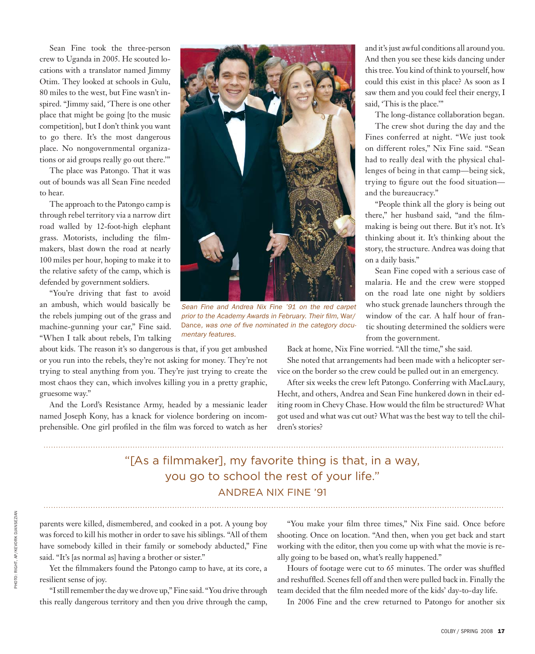Sean Fine took the three-person crew to Uganda in 2005. He scouted locations with a translator named Jimmy Otim. They looked at schools in Gulu, 80 miles to the west, but Fine wasn't inspired. "Jimmy said, 'There is one other place that might be going [to the music competition], but I don't think you want to go there. It's the most dangerous place. No nongovernmental organizations or aid groups really go out there.'"

 The place was Patongo. That it was out of bounds was all Sean Fine needed to hear.

 The approach to the Patongo camp is through rebel territory via a narrow dirt road walled by 12-foot-high elephant grass. Motorists, including the filmmakers, blast down the road at nearly 100 miles per hour, hoping to make it to the relative safety of the camp, which is defended by government soldiers.

 "You're driving that fast to avoid an ambush, which would basically be the rebels jumping out of the grass and machine-gunning your car," Fine said. "When I talk about rebels, I'm talking

about kids. The reason it's so dangerous is that, if you get ambushed or you run into the rebels, they're not asking for money. They're not trying to steal anything from you. They're just trying to create the most chaos they can, which involves killing you in a pretty graphic, gruesome way."

 And the Lord's Resistance Army, headed by a messianic leader named Joseph Kony, has a knack for violence bordering on incomprehensible. One girl profiled in the film was forced to watch as her



*Sean Fine and Andrea Nix Fine '91 on the red carpet prior to the Academy Awards in February. Their film, War/* Dance, was one of five nominated in the category docu*mentary features.*

and it's just awful conditions all around you. And then you see these kids dancing under this tree. You kind of think to yourself, how could this exist in this place? As soon as I saw them and you could feel their energy, I said, 'This is the place.'"

The long-distance collaboration began.

The crew shot during the day and the Fines conferred at night. "We just took on different roles," Nix Fine said. "Sean had to really deal with the physical challenges of being in that camp—being sick, trying to figure out the food situation and the bureaucracy."

"People think all the glory is being out there," her husband said, "and the filmmaking is being out there. But it's not. It's thinking about it. It's thinking about the story, the structure. Andrea was doing that on a daily basis."

Sean Fine coped with a serious case of malaria. He and the crew were stopped on the road late one night by soldiers who stuck grenade launchers through the window of the car. A half hour of frantic shouting determined the soldiers were from the government.

Back at home, Nix Fine worried. "All the time," she said.

 She noted that arrangements had been made with a helicopter service on the border so the crew could be pulled out in an emergency.

 After six weeks the crew left Patongo. Conferring with MacLaury, Hecht, and others, Andrea and Sean Fine hunkered down in their editing room in Chevy Chase. How would the film be structured? What got used and what was cut out? What was the best way to tell the children's stories?

### "[As a filmmaker], my favorite thing is that, in a way, you go to school the rest of your life." ANDREA NIX FINE '91

parents were killed, dismembered, and cooked in a pot. A young boy was forced to kill his mother in order to save his siblings. "All of them have somebody killed in their family or somebody abducted," Fine said. "It's [as normal as] having a brother or sister."

Yet the filmmakers found the Patongo camp to have, at its core, a resilient sense of joy.

"I still remember the day we drove up," Fine said. "You drive through this really dangerous territory and then you drive through the camp,

"You make your film three times," Nix Fine said. Once before shooting. Once on location. "And then, when you get back and start working with the editor, then you come up with what the movie is really going to be based on, what's really happened."

Hours of footage were cut to 65 minutes. The order was shuffled and reshuffled. Scenes fell off and then were pulled back in. Finally the team decided that the film needed more of the kids' day-to-day life.

In 2006 Fine and the crew returned to Patongo for another six